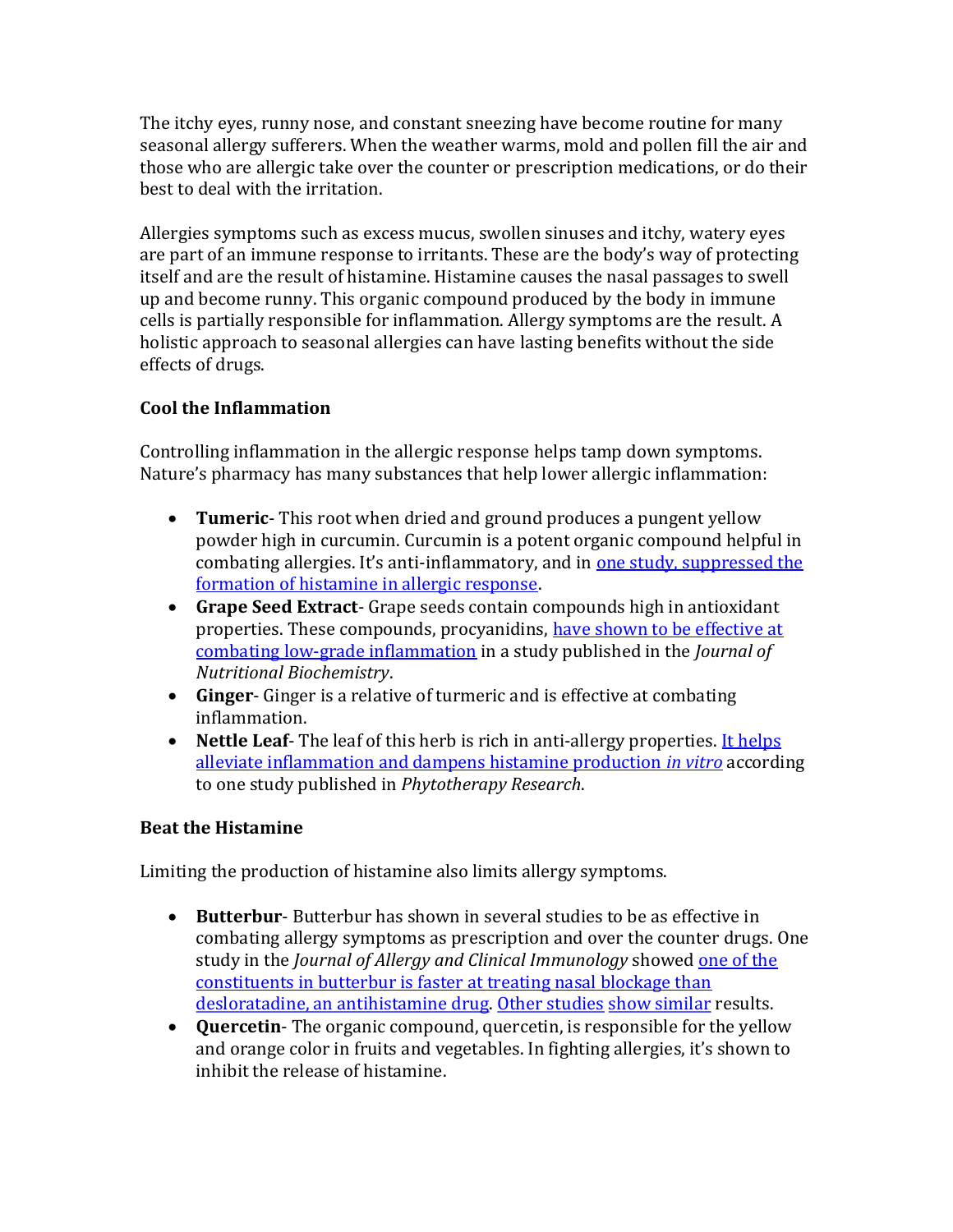The itchy eyes, runny nose, and constant sneezing have become routine for many seasonal allergy sufferers. When the weather warms, mold and pollen fill the air and those who are allergic take over the counter or prescription medications, or do their best to deal with the irritation.

Allergies symptoms such as excess mucus, swollen sinuses and itchy, watery eyes are part of an immune response to irritants. These are the body's way of protecting itself and are the result of histamine. Histamine causes the nasal passages to swell up and become runny. This organic compound produced by the body in immune cells is partially responsible for inflammation. Allergy symptoms are the result. A holistic approach to seasonal allergies can have lasting benefits without the side effects of drugs.

# Cool the Inflammation

Controlling inflammation in the allergic response helps tamp down symptoms. Nature's pharmacy has many substances that help lower allergic inflammation:

- Tumeric-This root when dried and ground produces a pungent yellow powder high in curcumin. Curcumin is a potent organic compound helpful in combating allergies. It's anti-inflammatory, and in one study, suppressed the formation of histamine in allergic response.
- Grape Seed Extract- Grape seeds contain compounds high in antioxidant properties. These compounds, procyanidins, have shown to be effective at combating low-grade inflammation in a study published in the Journal of Nutritional Biochemistry.
- Ginger- Ginger is a relative of turmeric and is effective at combating inflammation.
- Nettle Leaf- The leaf of this herb is rich in anti-allergy properties. It helps alleviate inflammation and dampens histamine production in vitro according to one study published in Phytotherapy Research.

# Beat the Histamine

Limiting the production of histamine also limits allergy symptoms.

- Butterbur- Butterbur has shown in several studies to be as effective in combating allergy symptoms as prescription and over the counter drugs. One study in the *Journal of Allergy and Clinical Immunology* showed one of the constituents in butterbur is faster at treating nasal blockage than desloratadine, an antihistamine drug. Other studies show similar results.
- Quercetin-The organic compound, quercetin, is responsible for the yellow and orange color in fruits and vegetables. In fighting allergies, it's shown to inhibit the release of histamine.